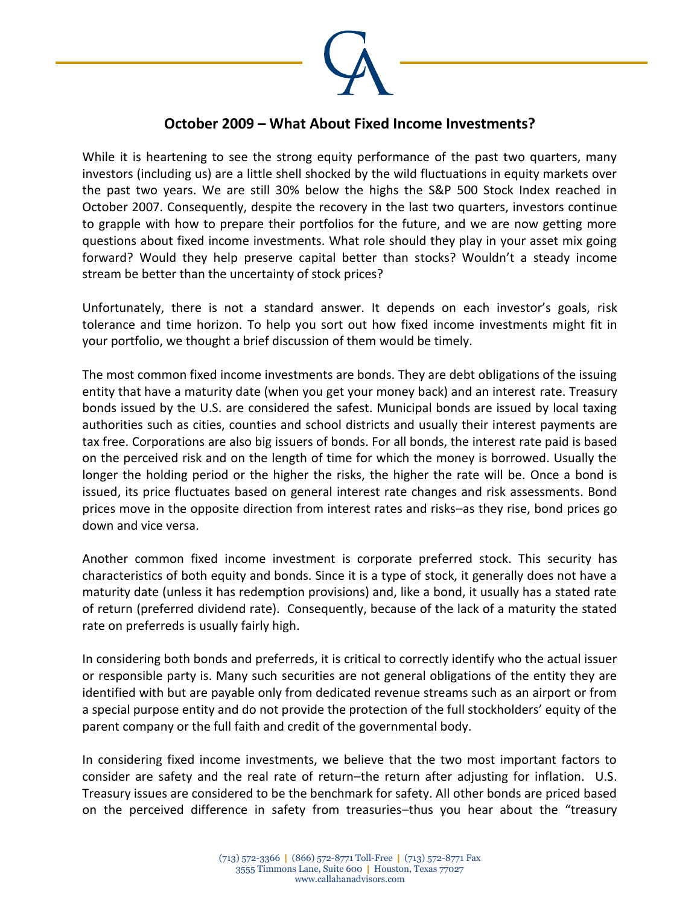

## **October 2009 – What About Fixed Income Investments?**

While it is heartening to see the strong equity performance of the past two quarters, many investors (including us) are a little shell shocked by the wild fluctuations in equity markets over the past two years. We are still 30% below the highs the S&P 500 Stock Index reached in October 2007. Consequently, despite the recovery in the last two quarters, investors continue to grapple with how to prepare their portfolios for the future, and we are now getting more questions about fixed income investments. What role should they play in your asset mix going forward? Would they help preserve capital better than stocks? Wouldn't a steady income stream be better than the uncertainty of stock prices?

Unfortunately, there is not a standard answer. It depends on each investor's goals, risk tolerance and time horizon. To help you sort out how fixed income investments might fit in your portfolio, we thought a brief discussion of them would be timely.

The most common fixed income investments are bonds. They are debt obligations of the issuing entity that have a maturity date (when you get your money back) and an interest rate. Treasury bonds issued by the U.S. are considered the safest. Municipal bonds are issued by local taxing authorities such as cities, counties and school districts and usually their interest payments are tax free. Corporations are also big issuers of bonds. For all bonds, the interest rate paid is based on the perceived risk and on the length of time for which the money is borrowed. Usually the longer the holding period or the higher the risks, the higher the rate will be. Once a bond is issued, its price fluctuates based on general interest rate changes and risk assessments. Bond prices move in the opposite direction from interest rates and risks–as they rise, bond prices go down and vice versa.

Another common fixed income investment is corporate preferred stock. This security has characteristics of both equity and bonds. Since it is a type of stock, it generally does not have a maturity date (unless it has redemption provisions) and, like a bond, it usually has a stated rate of return (preferred dividend rate). Consequently, because of the lack of a maturity the stated rate on preferreds is usually fairly high.

In considering both bonds and preferreds, it is critical to correctly identify who the actual issuer or responsible party is. Many such securities are not general obligations of the entity they are identified with but are payable only from dedicated revenue streams such as an airport or from a special purpose entity and do not provide the protection of the full stockholders' equity of the parent company or the full faith and credit of the governmental body.

In considering fixed income investments, we believe that the two most important factors to consider are safety and the real rate of return–the return after adjusting for inflation. U.S. Treasury issues are considered to be the benchmark for safety. All other bonds are priced based on the perceived difference in safety from treasuries–thus you hear about the "treasury